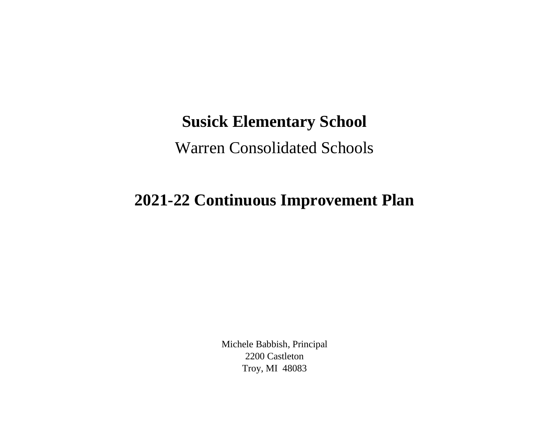## **Susick Elementary School**

## Warren Consolidated Schools

## **2021-22 Continuous Improvement Plan**

Michele Babbish, Principal 2200 Castleton Troy, MI 48083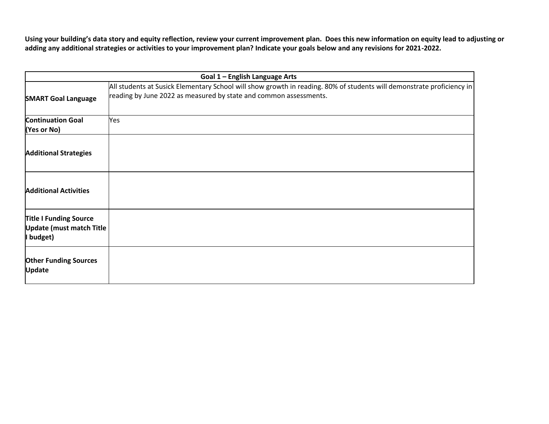**Using your building's data story and equity reflection, review your current improvement plan. Does this new information on equity lead to adjusting or adding any additional strategies or activities to your improvement plan? Indicate your goals below and any revisions for 2021-2022.**

| Goal 1 - English Language Arts                                                |                                                                                                                                                                                            |
|-------------------------------------------------------------------------------|--------------------------------------------------------------------------------------------------------------------------------------------------------------------------------------------|
| <b>SMART Goal Language</b>                                                    | All students at Susick Elementary School will show growth in reading. 80% of students will demonstrate proficiency in<br>reading by June 2022 as measured by state and common assessments. |
| <b>Continuation Goal</b><br>(Yes or No)                                       | Yes                                                                                                                                                                                        |
| <b>Additional Strategies</b>                                                  |                                                                                                                                                                                            |
| <b>Additional Activities</b>                                                  |                                                                                                                                                                                            |
| <b>Title I Funding Source</b><br><b>Update (must match Title</b><br>I budget) |                                                                                                                                                                                            |
| <b>Other Funding Sources</b><br><b>Update</b>                                 |                                                                                                                                                                                            |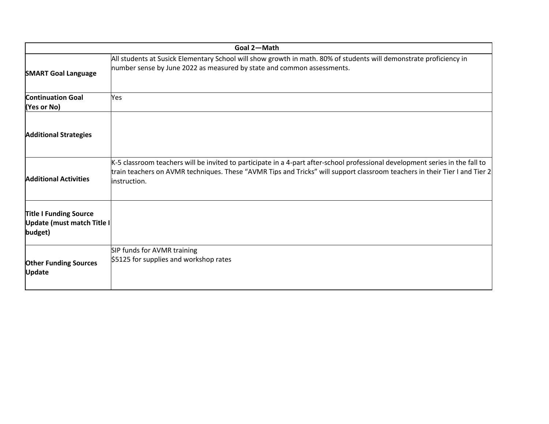| Goal 2-Math                                                            |                                                                                                                                                                                                                                                                             |
|------------------------------------------------------------------------|-----------------------------------------------------------------------------------------------------------------------------------------------------------------------------------------------------------------------------------------------------------------------------|
| <b>SMART Goal Language</b>                                             | All students at Susick Elementary School will show growth in math. 80% of students will demonstrate proficiency in<br>number sense by June 2022 as measured by state and common assessments.                                                                                |
| <b>Continuation Goal</b><br>(Yes or No)                                | Yes                                                                                                                                                                                                                                                                         |
| <b>Additional Strategies</b>                                           |                                                                                                                                                                                                                                                                             |
| <b>Additional Activities</b>                                           | K-5 classroom teachers will be invited to participate in a 4-part after-school professional development series in the fall to<br>train teachers on AVMR techniques. These "AVMR Tips and Tricks" will support classroom teachers in their Tier I and Tier 2<br>instruction. |
| <b>Title I Funding Source</b><br>Update (must match Title I<br>budget) |                                                                                                                                                                                                                                                                             |
| <b>Other Funding Sources</b><br><b>Update</b>                          | SIP funds for AVMR training<br>\$5125 for supplies and workshop rates                                                                                                                                                                                                       |